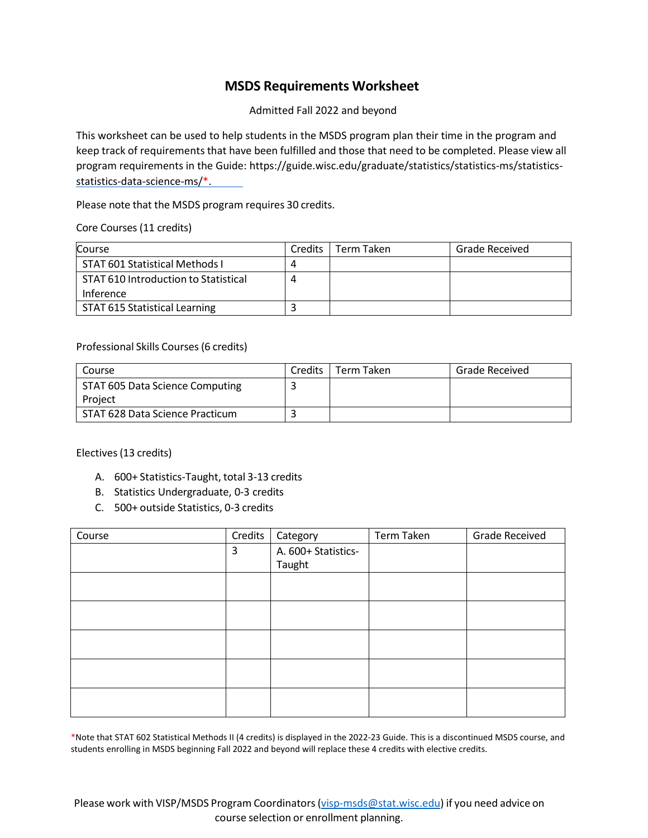## **MSDS Requirements Worksheet**

Admitted Fall 2022 and beyond

This worksheet can be used to help students in the MSDS program plan their time in the program and keep track of requirements that have been fulfilled and those that need to be completed. Please view all program requirements in the Guide: https://guide.wisc.edu/graduate/statistics/statistics-ms/statisticsstatistics-data-science-ms/\*.

Please note that the MSDS program requires 30 credits.

Core Courses (11 credits)

| Course                               | <b>Credits</b> | Term Taken | <b>Grade Received</b> |
|--------------------------------------|----------------|------------|-----------------------|
| STAT 601 Statistical Methods I       | 4              |            |                       |
| STAT 610 Introduction to Statistical | 4              |            |                       |
| Inference                            |                |            |                       |
| STAT 615 Statistical Learning        |                |            |                       |

Professional Skills Courses(6 credits)

| Course                                     | Credits L | l Term Taken | <b>Grade Received</b> |
|--------------------------------------------|-----------|--------------|-----------------------|
| STAT 605 Data Science Computing<br>Proiect |           |              |                       |
|                                            |           |              |                       |
| STAT 628 Data Science Practicum            |           |              |                       |

Electives (13 credits)

- A. 600+ Statistics-Taught, total 3-13 credits
- B. Statistics Undergraduate, 0-3 credits
- C. 500+ outside Statistics, 0-3 credits

| Course | Credits | Category            | Term Taken | <b>Grade Received</b> |
|--------|---------|---------------------|------------|-----------------------|
|        | 3       | A. 600+ Statistics- |            |                       |
|        |         | Taught              |            |                       |
|        |         |                     |            |                       |
|        |         |                     |            |                       |
|        |         |                     |            |                       |
|        |         |                     |            |                       |
|        |         |                     |            |                       |
|        |         |                     |            |                       |
|        |         |                     |            |                       |
|        |         |                     |            |                       |
|        |         |                     |            |                       |
|        |         |                     |            |                       |

\*Note that STAT 602 Statistical Methods II (4 credits) is displayed in the 2022-23 Guide. This is a discontinued MSDS course, and students enrolling in MSDS beginning Fall 2022 and beyond will replace these 4 credits with elective credits.